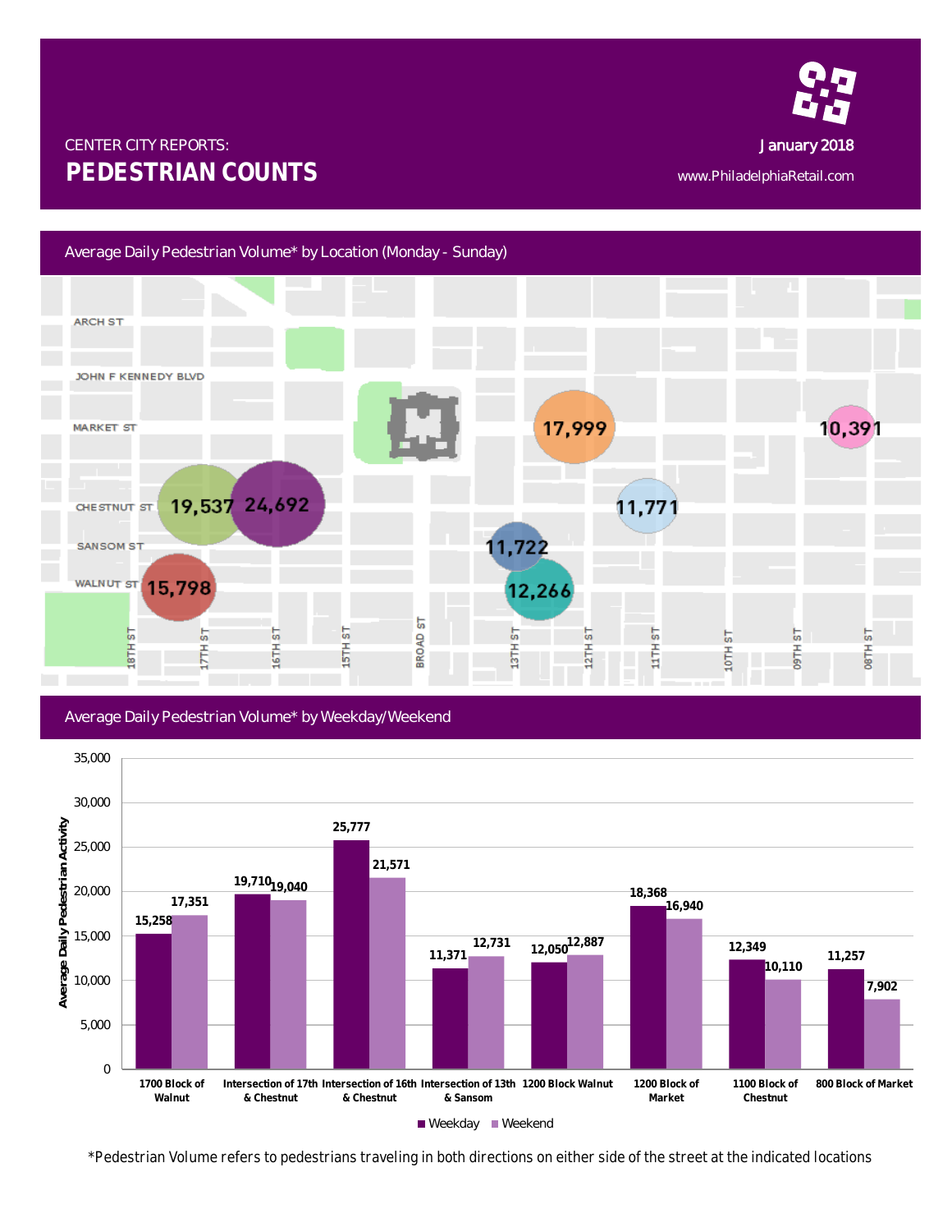

## CENTER CITY REPORTS: January 2018 **PEDESTRIAN COUNTS** www.PhiladelphiaRetail.com

## Average Daily Pedestrian Volume\* by Location (Monday - Sunday)



## Average Daily Pedestrian Volume\* by Weekday/Weekend



*\*Pedestrian Volume refers to pedestrians traveling in both directions on either side of the street at the indicated locations*